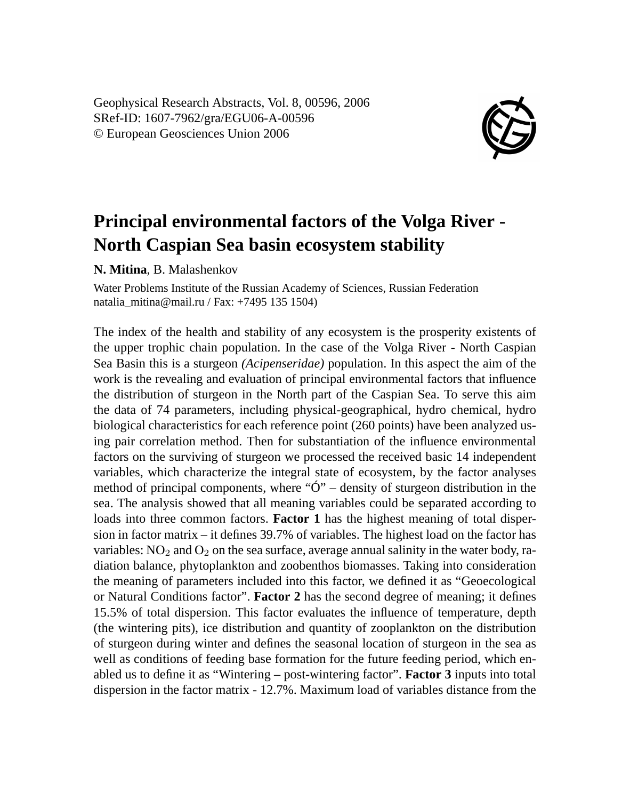Geophysical Research Abstracts, Vol. 8, 00596, 2006 SRef-ID: 1607-7962/gra/EGU06-A-00596 © European Geosciences Union 2006



## **Principal environmental factors of the Volga River - North Caspian Sea basin ecosystem stability**

**N. Mitina**, B. Malashenkov

Water Problems Institute of the Russian Academy of Sciences, Russian Federation natalia\_mitina@mail.ru / Fax: +7495 135 1504)

The index of the health and stability of any ecosystem is the prosperity existents of the upper trophic chain population. In the case of the Volga River - North Caspian Sea Basin this is a sturgeon *(Acipenseridae)* population. In this aspect the aim of the work is the revealing and evaluation of principal environmental factors that influence the distribution of sturgeon in the North part of the Caspian Sea. To serve this aim the data of 74 parameters, including physical-geographical, hydro chemical, hydro biological characteristics for each reference point (260 points) have been analyzed using pair correlation method. Then for substantiation of the influence environmental factors on the surviving of sturgeon we processed the received basic 14 independent variables, which characterize the integral state of ecosystem, by the factor analyses method of principal components, where " $\ddot{O}$ " – density of sturgeon distribution in the sea. The analysis showed that all meaning variables could be separated according to loads into three common factors. **Factor 1** has the highest meaning of total dispersion in factor matrix – it defines 39.7% of variables. The highest load on the factor has variables:  $NO<sub>2</sub>$  and  $O<sub>2</sub>$  on the sea surface, average annual salinity in the water body, radiation balance, phytoplankton and zoobenthos biomasses. Taking into consideration the meaning of parameters included into this factor, we defined it as "Geoecological or Natural Conditions factor". **Factor 2** has the second degree of meaning; it defines 15.5% of total dispersion. This factor evaluates the influence of temperature, depth (the wintering pits), ice distribution and quantity of zooplankton on the distribution of sturgeon during winter and defines the seasonal location of sturgeon in the sea as well as conditions of feeding base formation for the future feeding period, which enabled us to define it as "Wintering – post-wintering factor". **Factor 3** inputs into total dispersion in the factor matrix - 12.7%. Maximum load of variables distance from the